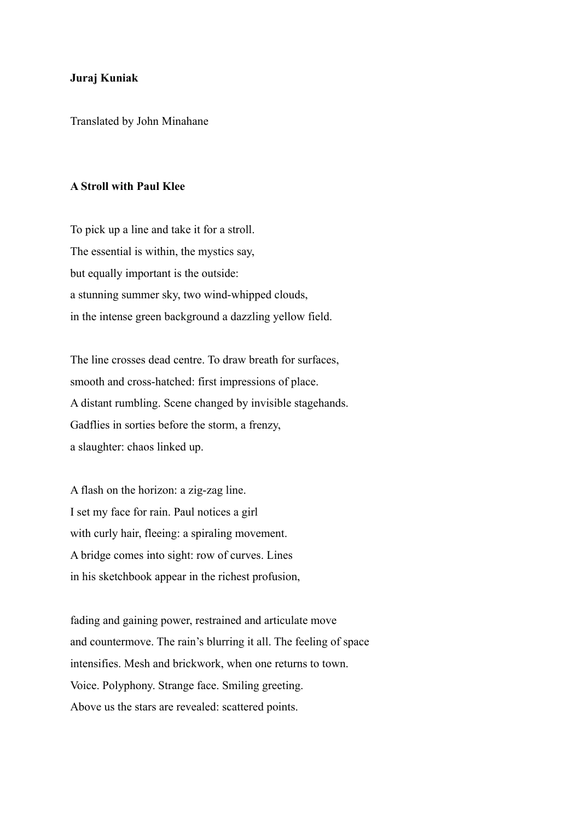## **Juraj Kuniak**

Translated by John Minahane

## **A Stroll with Paul Klee**

To pick up a line and take it for a stroll. The essential is within, the mystics say, but equally important is the outside: a stunning summer sky, two wind-whipped clouds, in the intense green background a dazzling yellow field.

The line crosses dead centre. To draw breath for surfaces, smooth and cross-hatched: first impressions of place. A distant rumbling. Scene changed by invisible stagehands. Gadflies in sorties before the storm, a frenzy, a slaughter: chaos linked up.

A flash on the horizon: a zig-zag line. I set my face for rain. Paul notices a girl with curly hair, fleeing: a spiraling movement. A bridge comes into sight: row of curves. Lines in his sketchbook appear in the richest profusion,

fading and gaining power, restrained and articulate move and countermove. The rain's blurring it all. The feeling of space intensifies. Mesh and brickwork, when one returns to town. Voice. Polyphony. Strange face. Smiling greeting. Above us the stars are revealed: scattered points.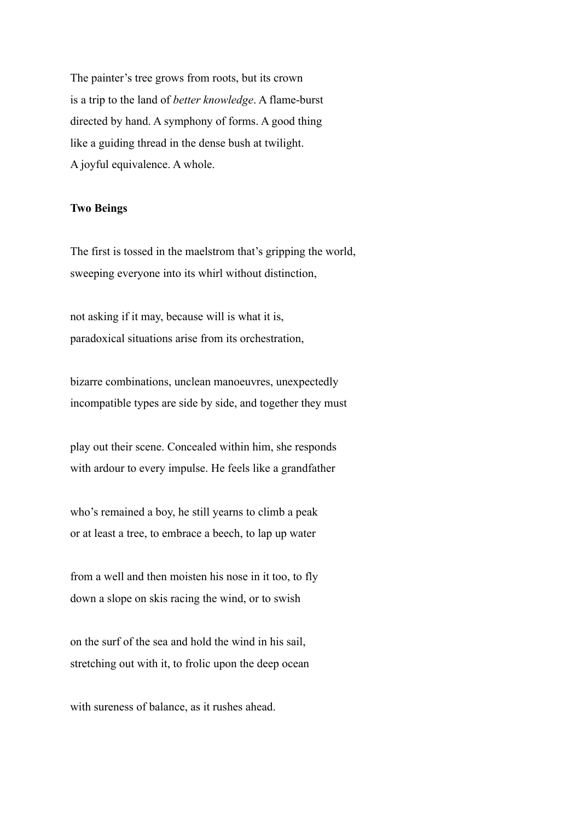The painter's tree grows from roots, but its crown is a trip to the land of *better knowledge*. A flame-burst directed by hand. A symphony of forms. A good thing like a guiding thread in the dense bush at twilight. A joyful equivalence. A whole.

## **Two Beings**

The first is tossed in the maelstrom that's gripping the world, sweeping everyone into its whirl without distinction,

not asking if it may, because will is what it is, paradoxical situations arise from its orchestration,

bizarre combinations, unclean manoeuvres, unexpectedly incompatible types are side by side, and together they must

play out their scene. Concealed within him, she responds with ardour to every impulse. He feels like a grandfather

who's remained a boy, he still yearns to climb a peak or at least a tree, to embrace a beech, to lap up water

from a well and then moisten his nose in it too, to fly down a slope on skis racing the wind, or to swish

on the surf of the sea and hold the wind in his sail, stretching out with it, to frolic upon the deep ocean

with sureness of balance, as it rushes ahead.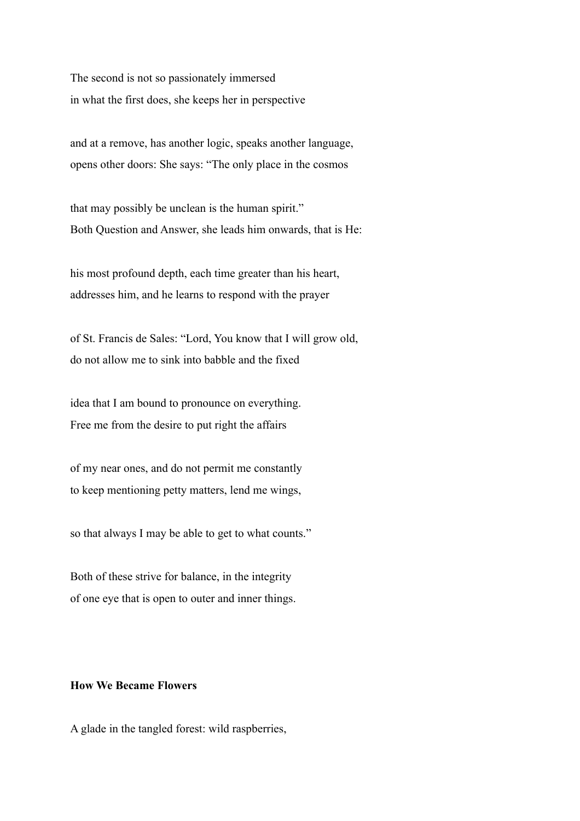The second is not so passionately immersed in what the first does, she keeps her in perspective

and at a remove, has another logic, speaks another language, opens other doors: She says: "The only place in the cosmos

that may possibly be unclean is the human spirit." Both Question and Answer, she leads him onwards, that is He:

his most profound depth, each time greater than his heart, addresses him, and he learns to respond with the prayer

of St. Francis de Sales: "Lord, You know that I will grow old, do not allow me to sink into babble and the fixed

idea that I am bound to pronounce on everything. Free me from the desire to put right the affairs

of my near ones, and do not permit me constantly to keep mentioning petty matters, lend me wings,

so that always I may be able to get to what counts."

Both of these strive for balance, in the integrity of one eye that is open to outer and inner things.

## **How We Became Flowers**

A glade in the tangled forest: wild raspberries,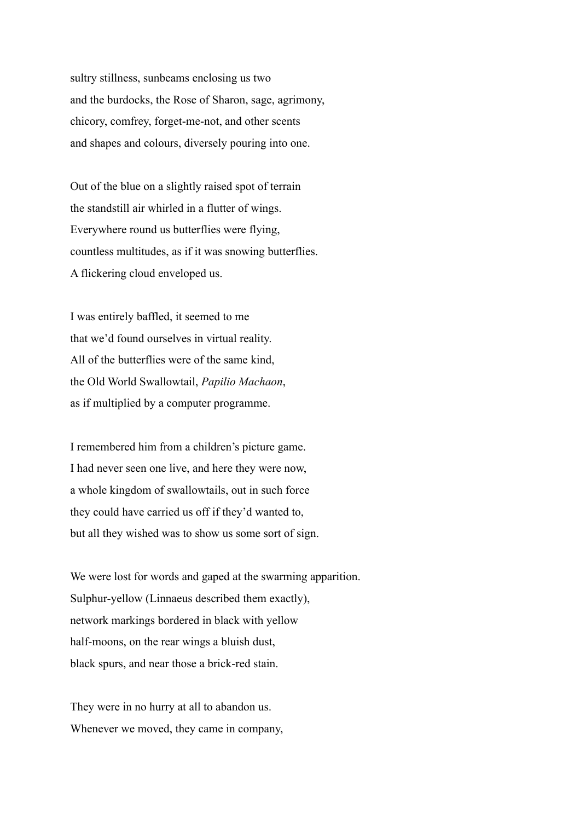sultry stillness, sunbeams enclosing us two and the burdocks, the Rose of Sharon, sage, agrimony, chicory, comfrey, forget-me-not, and other scents and shapes and colours, diversely pouring into one.

Out of the blue on a slightly raised spot of terrain the standstill air whirled in a flutter of wings. Everywhere round us butterflies were flying, countless multitudes, as if it was snowing butterflies. A flickering cloud enveloped us.

I was entirely baffled, it seemed to me that we'd found ourselves in virtual reality. All of the butterflies were of the same kind, the Old World Swallowtail, *Papilio Machaon*, as if multiplied by a computer programme.

I remembered him from a children's picture game. I had never seen one live, and here they were now, a whole kingdom of swallowtails, out in such force they could have carried us off if they'd wanted to, but all they wished was to show us some sort of sign.

We were lost for words and gaped at the swarming apparition. Sulphur-yellow (Linnaeus described them exactly), network markings bordered in black with yellow half-moons, on the rear wings a bluish dust, black spurs, and near those a brick-red stain.

They were in no hurry at all to abandon us. Whenever we moved, they came in company,